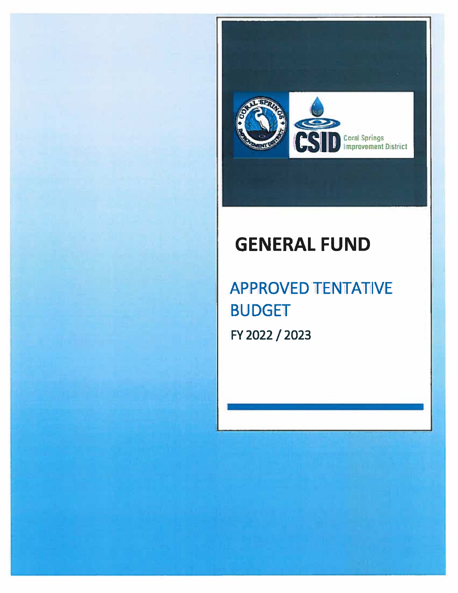

# **GENERAL FUND**

# APPROVED TENTATIVE BUDGET FY 2022 / 2023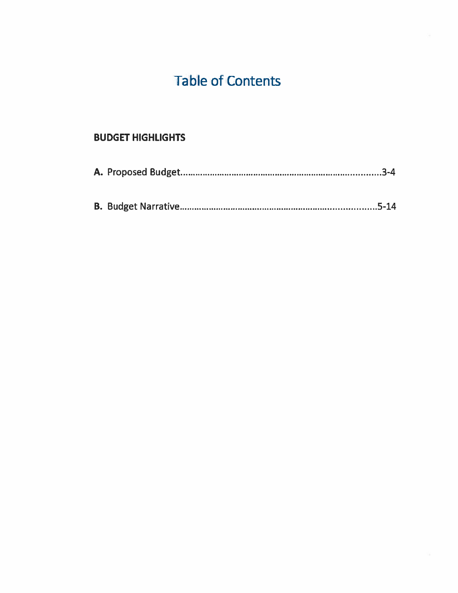# **Table of Contents**

# **BUDGET HIGHLIGHTS**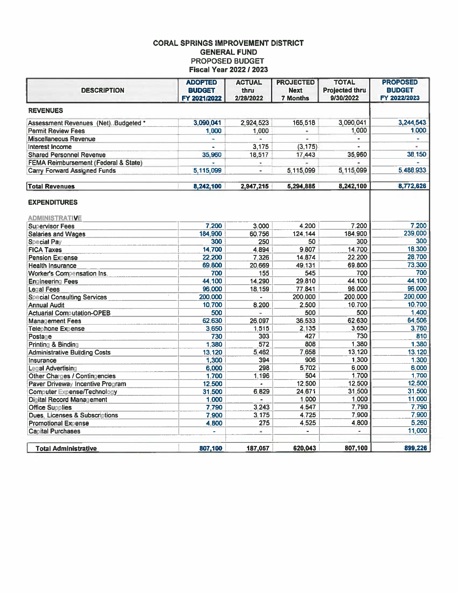#### **CORAL SPRINGS IMPROVEMENT DISTRICT GENERAL FUND** PROPOSED BUDGET **Fiscal Year 2022 / 2023**

| <b>DESCRIPTION</b>                           | <b>ADOPTED</b><br><b>BUDGET</b><br>FY 2021/2022 | <b>ACTUAL</b><br>thru<br>2/28/2022 | <b>PROJECTED</b><br><b>Next</b><br><b>7 Months</b> | <b>TOTAL</b><br><b>Projected thru</b><br>9/30/2022 | <b>PROPOSED</b><br><b>BUDGET</b><br>FY 2022/2023 |
|----------------------------------------------|-------------------------------------------------|------------------------------------|----------------------------------------------------|----------------------------------------------------|--------------------------------------------------|
| <b>REVENUES</b>                              |                                                 |                                    |                                                    |                                                    |                                                  |
| Assessment Revenues (Net)Budgeted *          | 3.090.041                                       | 2,924,523                          | 165,518                                            | 3.090.041                                          | 3,244 543                                        |
| <b>Permit Review Fees</b>                    | 1.000                                           | 1,000                              | ٠                                                  | 1,000                                              | 1,000                                            |
| Miscellaneous Revenue                        |                                                 |                                    |                                                    | $\blacksquare$                                     | ÷                                                |
| Interest Income                              |                                                 | 3,175                              | (3, 175)                                           |                                                    |                                                  |
| <b>Shared Personnel Revenue</b>              | 35,960                                          | 18,517                             | 17,443                                             | 35,960                                             | 38.150                                           |
| FEMA Reimbursement (Federal & State)         | ÷                                               | $\bullet$                          |                                                    |                                                    |                                                  |
| Carry Forward Assigned Funds                 | 5,115,099                                       | $\blacksquare$                     | 5,115,099                                          | 5,115,099                                          | 5,488,933                                        |
| <b>Total Revenues</b>                        | 8,242,100                                       | 2,947,215                          | 5,294,885                                          | 8,242,100                                          | 8,772,626                                        |
| <b>EXPENDITURES</b><br><b>ADMINISTRATIVE</b> |                                                 |                                    |                                                    |                                                    |                                                  |
| <b>Supervisor Fees</b>                       | 7,200                                           | 3.000                              | 4,200                                              | 7.200                                              | 7,200                                            |
| <b>Salaries and Wages</b>                    | 184,900                                         | 60.756                             | 124.144                                            | 184,900                                            | 239,000                                          |
| Special Pay                                  | 300                                             | 250                                | 50                                                 | 300                                                | 300                                              |
| <b>FICA Taxes</b>                            | 14.700                                          | 4.894                              | 9,807                                              | 14.700                                             | 18,300                                           |
| <b>Pension Expense</b>                       | 22,200                                          | 7,326                              | 14,874                                             | 22,200                                             | 28,700                                           |
| <b>Health Insurance</b>                      | 69,800                                          | 20.669                             | 49.131                                             | 69.800                                             | 73,300                                           |
| Worker's Compensation Ins.                   | 700                                             | 155                                | 545                                                | 700                                                | 700                                              |
| Engineering Fees                             | 44,100                                          | 14,290                             | 29,810                                             | 44,100                                             | 44,100                                           |
| Legal Fees                                   | 96,000                                          | 18.159                             | 77,841                                             | 96,000                                             | 96,000                                           |
| <b>Special Consulting Services</b>           | 200,000                                         |                                    | 200,000                                            | 200,000                                            | 200,000                                          |
| <b>Annual Audit</b>                          | 10,700                                          | 8,200                              | 2.500                                              | 10,700                                             | 10,700<br>1,400                                  |
| <b>Actuarial Computation-OPEB</b>            | 500                                             |                                    | 500                                                | 500<br>62,630                                      | 64,506                                           |
| Management Fees                              | 62 630<br>3,650                                 | 26,097<br>1,515                    | 36,533<br>2,135                                    | 3,650                                              | 3,760                                            |
| Telephone Expense                            | 730                                             | 303                                | 427                                                | 730                                                | 810                                              |
| Postage<br>Printing & Binding                | 1,380                                           | 572                                | 808                                                | 1,380                                              | 1,380                                            |
| <b>Administrative Building Costs</b>         | 13,120                                          | 5,462                              | 7,658                                              | 13,120                                             | 13,120                                           |
| Insurance                                    | 1,300                                           | 394                                | 906                                                | 1,300                                              | 1,300                                            |
| <b>Legal Advertising</b>                     | 6,000                                           | 298                                | 5,702                                              | 6,000                                              | 6,000                                            |
| <b>Other Charges / Contingencies</b>         | 1,700                                           | 1.196                              | 504                                                | 1.700                                              | 1,700                                            |
| Paver Driveway Incentive Program             | 12,500                                          | ä,                                 | 12,500                                             | 12,500                                             | 12,500                                           |
| <b>Computer Expense/Technology</b>           | 31,500                                          | 6,829                              | 24,671                                             | 31.500                                             | 31,500                                           |
| Digital Record Management                    | 1,000                                           | $\blacksquare$                     | 1,000                                              | 1.000                                              | 11,000                                           |
| <b>Office Supplies</b>                       | 7,790                                           | 3,243                              | 4,547                                              | 7.790                                              | 7.790                                            |
| Dues, Licenses & Subscriptions               | 7,900                                           | 3,175                              | 4,725                                              | 7,900                                              | 7,900                                            |
| <b>Promotional Expense</b>                   | 4.800                                           | 275                                | 4,525                                              | 4,800                                              | 5,260                                            |
| <b>Capital Purchases</b>                     |                                                 | ٠                                  |                                                    |                                                    | 11,000                                           |
| <b>Total Administrative</b>                  | 807,100                                         | 187,057                            | 620,043                                            | 807,100                                            | 899,226                                          |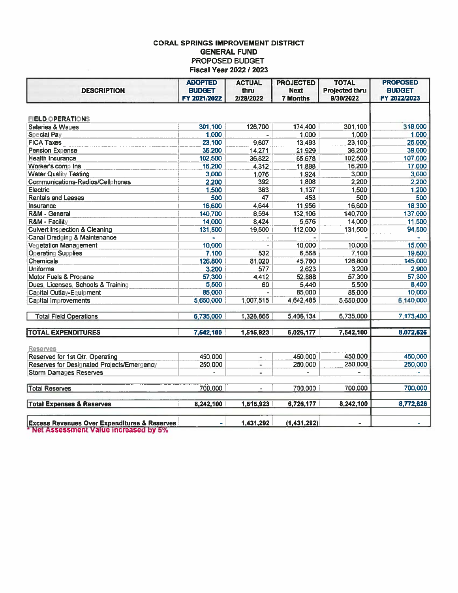#### **CORAL SPRINGS IMPROVEMENT DISTRICT GENERAL FUND** PROPOSED BUDGET **Fiscal Year 2022 / 2023**

| <b>DESCRIPTION</b>                                                                                | <b>ADOPTED</b><br><b>BUDGET</b><br>FY 2021/2022 | <b>ACTUAL</b><br>thru<br>2/28/2022 | <b>PROJECTED</b><br><b>Next</b><br>7 Months | <b>TOTAL</b><br>Projected thru<br>9/30/2022 | <b>PROPOSED</b><br><b>BUDGET</b><br>FY 2022/2023 |
|---------------------------------------------------------------------------------------------------|-------------------------------------------------|------------------------------------|---------------------------------------------|---------------------------------------------|--------------------------------------------------|
|                                                                                                   |                                                 |                                    |                                             |                                             |                                                  |
| <b>FIELD OPERATIONS</b><br>Salaries & Wages                                                       | 301,100                                         | 126,700                            | 174,400                                     | 301,100                                     | 318,000                                          |
| Special Pay                                                                                       | 1,000                                           |                                    | 1,000                                       | 1,000                                       | 1,000                                            |
| <b>FICA Taxes</b>                                                                                 | 23,100                                          | 9,607                              | 13,493                                      | 23,100                                      | 25,000                                           |
| <b>Pension Expense</b>                                                                            | 36,200                                          | 14,271                             | 21,929                                      | 36,200                                      | 39,000                                           |
| <b>Health Insurance</b>                                                                           | 102,500                                         | 36,822                             | 65,678                                      | 102,500                                     | 107,000                                          |
| Worker's comp Ins                                                                                 | 16,200                                          | 4,312                              | 11,888                                      | 16,200                                      | 17,000                                           |
| <b>Water Quality Testing</b>                                                                      | 3,000                                           | 1,076                              | 1,924                                       | 3,000                                       | 3,000                                            |
| Communications-Radios/Cellphones                                                                  | 2,200                                           | 392                                | 1,808                                       | 2,200                                       | 2,200                                            |
| Electric                                                                                          | 1,500                                           | 363                                | 1,137                                       | 1,500                                       | 1,200                                            |
| <b>Rentals and Leases</b>                                                                         | 500                                             | 47                                 | 453                                         | 500                                         | 500                                              |
| Insurance                                                                                         | 16,600                                          | 4,644                              | 11,956                                      | 16,600                                      | 18,300                                           |
| R&M - General                                                                                     | 140,700                                         | 8,594                              | 132,106                                     | 140,700                                     | 137,000                                          |
| R&M - Facility                                                                                    | 14,000                                          | 8,424                              | 5,576                                       | 14,000                                      | 11,500                                           |
| <b>Culvert Inspection &amp; Cleaning</b>                                                          | 131,500                                         | 19,500                             | 112,000                                     | 131,500                                     | 94,500                                           |
| Canal Dredging & Maintenance                                                                      | ÷.                                              |                                    |                                             |                                             |                                                  |
| <b>Vegetation Management</b>                                                                      | 10,000                                          |                                    | 10,000                                      | 10,000                                      | 15,000                                           |
| <b>Operating Supplies</b>                                                                         | 7,100                                           | 532                                | 6,568                                       | 7,100                                       | 19,600                                           |
| Chemicals                                                                                         | 126,800                                         | 81,020                             | 45,780                                      | 126,800                                     | 145,000                                          |
| Uniforms                                                                                          | 3.200                                           | 577                                | 2,623                                       | 3.200                                       | 2,900                                            |
| Motor Fuels & Propane                                                                             | 57,300                                          | 4,412                              | 52,888                                      | 57,300                                      | 57,300                                           |
| Dues, Licenses, Schools & Training                                                                | 5,500                                           | 60                                 | 5,440                                       | 5,500                                       | 8,400                                            |
| Capital Outlay-Equipment                                                                          | 85,000                                          |                                    | 85,000                                      | 85,000                                      | 10,000                                           |
| Capital Improvements                                                                              | 5,650,000                                       | 1,007,515                          | 4,642,485                                   | 5,650,000                                   | 6,140,000                                        |
| <b>Total Field Operations</b>                                                                     | 6,735,000                                       | 1,328,866                          | 5,406,134                                   | 6,735,000                                   | 7,173,400                                        |
| <b>TOTAL EXPENDITURES</b>                                                                         | 7,542,100                                       | 1,515,923                          | 6,026,177                                   | 7,542,100                                   | 8,072,626                                        |
| <b>Reserves</b>                                                                                   |                                                 |                                    |                                             |                                             |                                                  |
| Reserved for 1st Qtr. Operating                                                                   | 450,000                                         | $\overline{\phantom{0}}$           | 450,000                                     | 450,000                                     | 450,000                                          |
| Reserves for Designated Projects/Emergency                                                        | 250,000                                         | ÷.                                 | 250,000                                     | 250,000                                     | 250,000                                          |
| Storm Damages Reserves                                                                            |                                                 | ٠                                  |                                             |                                             |                                                  |
| <b>Total Reserves</b>                                                                             | 700,000                                         | $\overline{a}$                     | 700,000                                     | 700,000                                     | 700,000                                          |
| <b>Total Expenses &amp; Reserves</b>                                                              | 8,242,100                                       | 1,515,923                          | 6,726,177                                   | 8,242,100                                   | 8,772,626                                        |
|                                                                                                   |                                                 |                                    |                                             |                                             |                                                  |
| <b>Excess Revenues Over Expenditures &amp; Reserves</b><br>$\pm$ Accordment Value increased by EV | $\blacksquare$                                  | 1,431,292                          | (1,431,292)                                 | $\blacksquare$                              |                                                  |

Net Assessment Value increased by 5%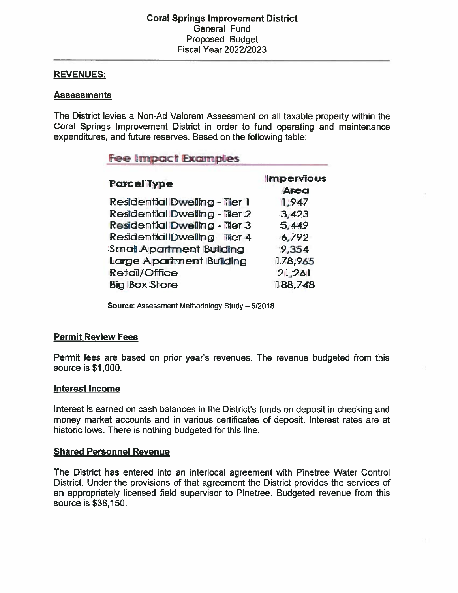#### **REVENUES:**

#### **Assessments**

The District levies a Non-Ad Valorem Assessment on all taxable property within the Coral Springs Improvement District in order to fund operating and maintenance expenditures, and future reserves. Based on the following table:

#### **Fee Impact Examples**

| <b>Parcel Type</b>                    | <b>Impervious</b><br>Area |
|---------------------------------------|---------------------------|
| <b>Residential Dwelling - Tier 1</b>  | 1,947                     |
| <b>Residential Dwelling - Tier 2</b>  | 3,423                     |
| <b>Residential Dwelling - Tiler 3</b> | 5,449                     |
| <b>Residential Dwelling - Tiler 4</b> | 6,792                     |
| <b>Small Apartment Building</b>       | 9,354                     |
| Large Apartment Building              | 178,965                   |
| Retail/Office                         | 21,261                    |
| <b>Big Box Store</b>                  | 188,748                   |

Source: Assessment Methodology Study - 5/2018

#### **Permit Review Fees**

Permit fees are based on prior year's revenues. The revenue budgeted from this source is \$1,000.

#### Interest Income

Interest is earned on cash balances in the District's funds on deposit in checking and money market accounts and in various certificates of deposit. Interest rates are at historic lows. There is nothing budgeted for this line.

#### **Shared Personnel Revenue**

The District has entered into an interlocal agreement with Pinetree Water Control District. Under the provisions of that agreement the District provides the services of an appropriately licensed field supervisor to Pinetree. Budgeted revenue from this source is \$38,150.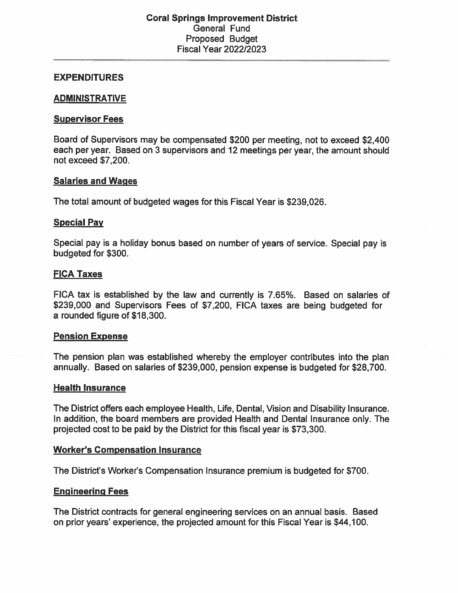#### **EXPENDITURES**

#### **ADMINISTRATIVE**

#### **Supervisor Fees**

Board of Supervisors may be compensated \$200 per meeting, not to exceed \$2,400 each per year. Based on 3 supervisors and 12 meetings per year, the amount should not exceed \$7,200.

#### **Salaries and Wages**

The total amount of budgeted wages for this Fiscal Year is \$239,026.

#### **Special Pay**

Special pay is a holiday bonus based on number of years of service. Special pay is budgeted for \$300.

#### **FICA Taxes**

FICA tax is established by the law and currently is 7 .65%. Based on salaries of \$239,000 and Supervisors Fees of \$7,200, FICA taxes are being budgeted for a rounded figure of \$18,300.

#### **Pension Expense**

The pension plan was established whereby the employer contributes into the plan annually. Based on salaries of \$239,000, pension expense is budgeted for \$28,700.

#### **Health Insurance**

The District offers each employee Health, Life, Dental, Vision and Disability Insurance. In addition, the board members are provided Health and Dental Insurance only. The projected cost to be paid by the District for this fiscal year is \$73,300.

#### **Worker's Compensation Insurance**

The District's Worker's Compensation Insurance premium is budgeted for \$700.

#### **Engineering Fees**

The District contracts for general engineering services on an annual basis. Based on prior years' experience, the projected amount for this Fiscal Year is \$44,100.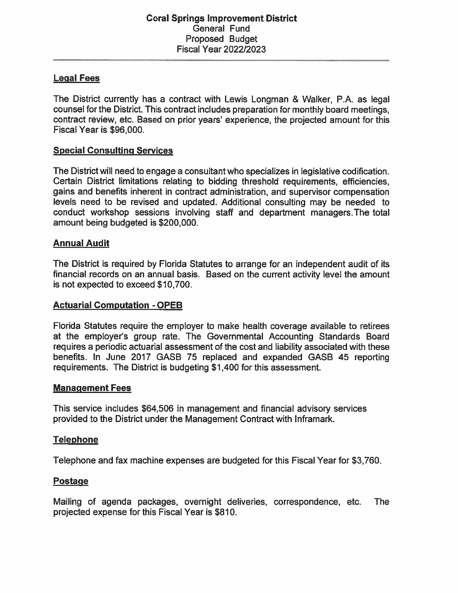# **Legal Fees**

The District currently has a contract with Lewis Longman & Walker, P.A. as legal counsel for the District. This contract includes preparation for monthly board meetings, contract review, etc. Based on prior years' experience, the projected amount for this Fiscal Year is \$96,000.

# **Special Consulting Services**

The District will need to engage a consultant who specializes in legislative codification. Certain District limitations relating to bidding threshold requirements, efficiencies, gains and benefits inherent in contract administration, and supervisor compensation levels need to be revised and updated. Additional consulting may be needed to conduct workshop sessions involving staff and department managers.The total amount being budgeted is \$200,000.

#### **Annual Audit**

The District is required by Florida Statutes to arrange for an independent audit of its financial records on an annual basis. Based on the current activity level the amount is not expected to exceed \$10,700.

#### **Actuarial Computation** - **OPEB**

Florida Statutes require the employer to make health coverage available to retirees at the employer's group rate. The Governmental Accounting Standards Board requires a periodic actuarial assessment of the cost and liability associated with these benefits. In June 2017 GASS 75 replaced and expanded GASS 45 reporting requirements. The District is budgeting \$1,400 for this assessment.

#### **Management Fees**

This service includes \$64,506 in management and financial advisory services provided to the District under the Management Contract with lnframark.

#### **Telephone**

Telephone and fax machine expenses are budgeted for this Fiscal Year for \$3,760.

#### **Postage**

Mailing of agenda packages, overnight deliveries, correspondence, etc. The projected expense for this Fiscal Year is \$810.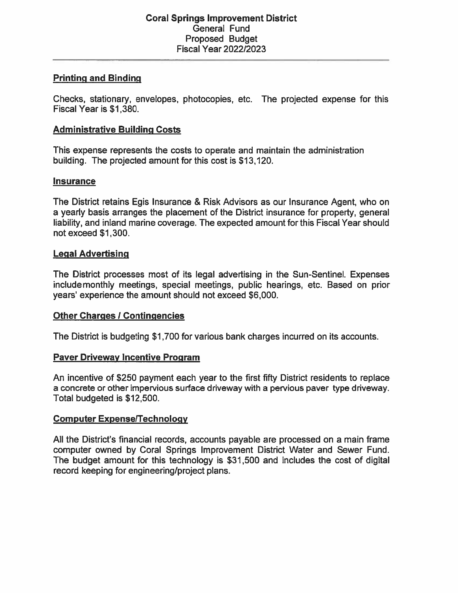# **Printing and Binding**

Checks, stationary, envelopes, photocopies, etc. The projected expense for this Fiscal Year is \$1,380.

#### **Administrative Building Costs**

This expense represents the costs to operate and maintain the administration building. The projected amount for this cost is \$13,120.

#### **Insurance**

The District retains Egis Insurance & Risk Advisors as our Insurance Agent, who on a yearly basis arranges the placement of the District insurance for property, general liability, and inland marine coverage. The expected amount for this Fiscal Year should not exceed \$1,300.

#### **Legal Advertising**

The District processes most of its legal advertising in the Sun-Sentinel. Expenses include monthly meetings, special meetings, public hearings, etc. Based on prior years' experience the amount should not exceed \$6,000.

#### **Other Charges** / **Contingencies**

The District is budgeting \$1,700 for various bank charges incurred on its accounts.

#### **Paver Driveway Incentive Program**

An incentive of \$250 payment each year to the first fifty District residents to replace a concrete or other impervious surface driveway with a pervious paver type driveway. Total budgeted is \$12,500.

#### **Computer Expense/Technology**

All the District's financial records, accounts payable are processed on a main frame computer owned by Coral Springs Improvement District Water and Sewer Fund. The budget amount for this technology is \$31,500 and includes the cost of digital record keeping for engineering/project plans.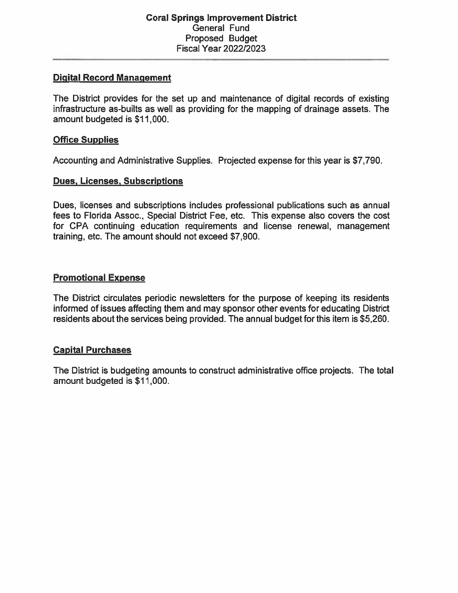#### **Digital Record Management**

The District provides for the set up and maintenance of digital records of existing infrastructure as-builts as well as providing for the mapping of drainage assets. The amount budgeted is \$11,000.

#### **Office Supplies**

Accounting and Administrative Supplies. Projected expense for this year is \$7,790.

# **Dues, Licenses, Subscriptions**

Dues, licenses and subscriptions includes professional publications such as annual fees to Florida Assoc., Special District Fee, etc. This expense also covers the cost for CPA continuing education requirements and license renewal, management training, etc. The amount should not exceed \$7,900.

# **Promotional Expense**

The District circulates periodic newsletters for the purpose of keeping its residents informed of issues affecting them and may sponsor other events for educating District residents about the services being provided. The annual budget for this item is \$5,260.

#### **Capital Purchases**

The District is budgeting amounts to construct administrative office projects. The total amount budgeted is \$11,000.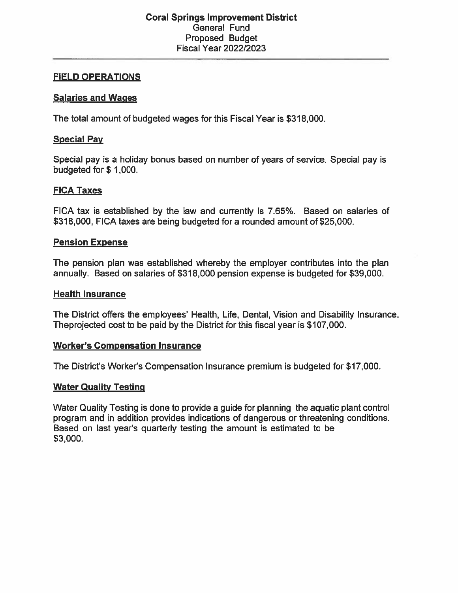#### **FIELD OPERATIONS**

#### **Salaries and Wages**

The total amount of budgeted wages for this Fiscal Year is \$318,000.

# **Special Pay**

Special pay is a holiday bonus based on number of years of service. Special pay is budgeted for \$1,000.

# **FICA Taxes**

FICA tax is established by the law and currently is 7.65%. Based on salaries of \$318,000, FICA taxes are being budgeted for a rounded amount of \$25,000.

#### **Pension Expense**

The pension plan was established whereby the employer contributes into the plan annually. Based on salaries of \$318,000 pension expense is budgeted for \$39,000.

#### **Health Insurance**

The District offers the employees' Health, Life, Dental, Vision and Disability Insurance. Theprojected cost to be paid by the District for this fiscal year is \$107,000.

#### **Worker's Compensation Insurance**

The District's Worker's Compensation Insurance premium is budgeted for \$17,000.

#### **Water Quality Testing**

Water Quality Testing is done to provide a guide for planning the aquatic plant control program and in addition provides indications of dangerous or threatening conditions. Based on last year's quarterly testing the amount is estimated to be \$3,000.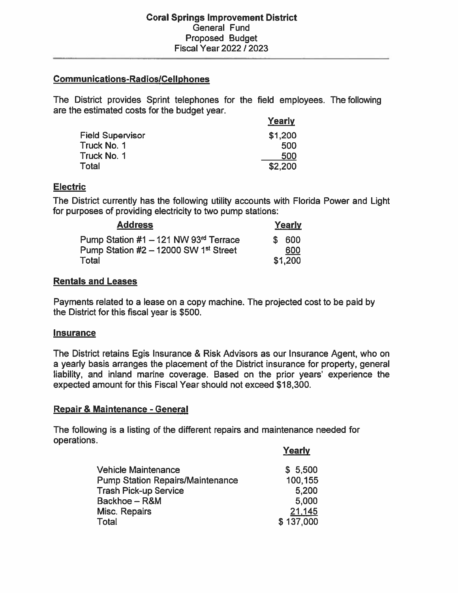#### **Communications-Radios/Cellphones**

The District provides Sprint telephones for the field employees. The following are the estimated costs for the budget year.

|                         | Yearly  |
|-------------------------|---------|
| <b>Field Supervisor</b> | \$1,200 |
| Truck No. 1             | 500     |
| Truck No. 1             | 500     |
| Total                   | \$2,200 |

# **Electric**

The District currently has the following utility accounts with Florida Power and Light for purposes of providing electricity to two pump stations:

| <b>Address</b>                          | Yearly  |
|-----------------------------------------|---------|
| Pump Station #1 - 121 NW 93rd Terrace   | \$ 600  |
| Pump Station $#2 - 12000$ SW 1st Street | 600     |
| Total                                   | \$1,200 |

# **Rentals and Leases**

Payments related to a lease on a copy machine. The projected cost to be paid by the District for this fiscal year is \$500.

#### **Insurance**

The District retains Egis Insurance & Risk Advisors as our Insurance Agent, who on a yearly basis arranges the placement of the District insurance for property, general liability, and inland marine coverage. Based on the prior years' experience the expected amount for this Fiscal Year should not exceed \$18,300.

# **Repair** & **Maintenance** - **General**

The following is a listing of the different repairs and maintenance needed for operations. **Yearly** 

| <b>Yearly</b> |
|---------------|
| \$5,500       |
| 100,155       |
| 5,200         |
| 5,000         |
| 21,145        |
| \$137,000     |
|               |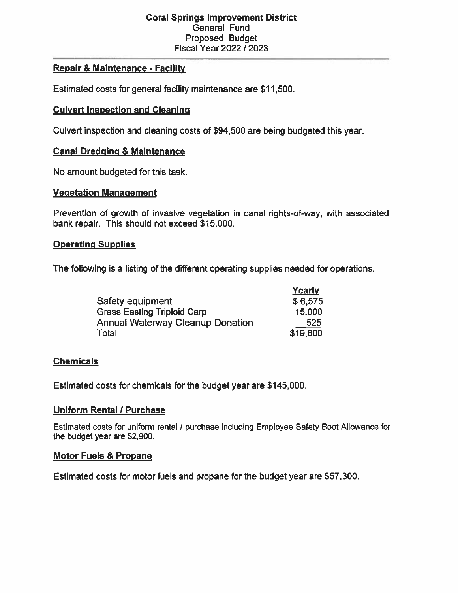#### **Coral Springs Improvement District**  General Fund Proposed Budget Fiscal Year 2022 / 2023

#### **Repair** & **Maintenance** - **Facility**

Estimated costs for general facility maintenance are \$11,500.

#### **Culvert Inspection and Cleaning**

Culvert inspection and cleaning costs of \$94,500 are being budgeted this year.

#### **Canal Dredging** & **Maintenance**

No amount budgeted for this task.

#### **Vegetation Management**

Prevention of growth of invasive vegetation in canal rights-of-way, with associated bank repair. This should not exceed \$15,000.

#### **Operating Supplies**

The following is a listing of the different operating supplies needed for operations.

|                                         | Yearly   |
|-----------------------------------------|----------|
| Safety equipment                        | \$6,575  |
| <b>Grass Easting Triploid Carp</b>      | 15,000   |
| <b>Annual Waterway Cleanup Donation</b> | 525      |
| Total                                   | \$19,600 |

#### **Chemicals**

Estimated costs for chemicals for the budget year are \$145,000.

#### **Uniform Rental** / **Purchase**

Estimated costs for uniform rental / purchase including Employee Safety Boot Allowance for the budget year are \$2,900.

#### **Motor Fuels** & **Propane**

Estimated costs for motor fuels and propane for the budget year are \$57,300.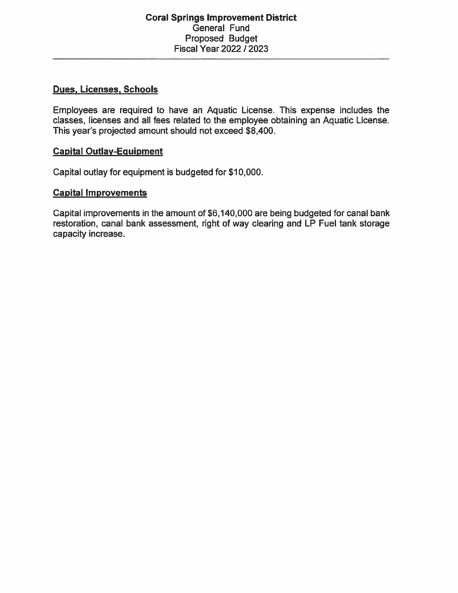# **Dues, Licenses, Schools**

Employees are required to have an Aquatic License. This expense includes the classes, licenses and all fees related to the employee obtaining an Aquatic License. This year's projected amount should not exceed \$8,400.

#### **Capital Outlay-Equipment**

Capital outlay for equipment is budgeted for \$10,000.

#### **Capital Improvements**

Capital improvements in the amount of \$6,140,000 are being budgeted for canal bank restoration, canal bank assessment, right of way clearing and LP Fuel tank storage capacity increase.